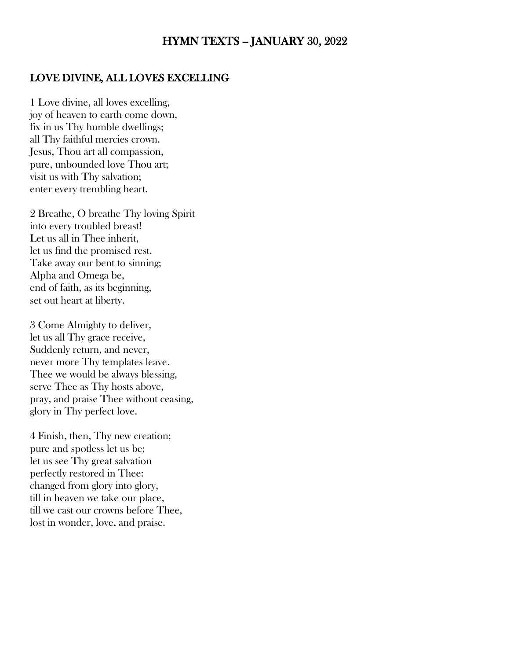## HYMN TEXTS -- JANUARY 30, 2022

#### LOVE DIVINE, ALL LOVES EXCELLING

1 Love divine, all loves excelling, joy of heaven to earth come down, fix in us Thy humble dwellings; all Thy faithful mercies crown. Jesus, Thou art all compassion, pure, unbounded love Thou art; visit us with Thy salvation; enter every trembling heart.

2 Breathe, O breathe Thy loving Spirit into every troubled breast! Let us all in Thee inherit, let us find the promised rest. Take away our bent to sinning; Alpha and Omega be, end of faith, as its beginning, set out heart at liberty.

3 Come Almighty to deliver, let us all Thy grace receive, Suddenly return, and never, never more Thy templates leave. Thee we would be always blessing, serve Thee as Thy hosts above, pray, and praise Thee without ceasing, glory in Thy perfect love.

4 Finish, then, Thy new creation; pure and spotless let us be; let us see Thy great salvation perfectly restored in Thee: changed from glory into glory, till in heaven we take our place, till we cast our crowns before Thee, lost in wonder, love, and praise.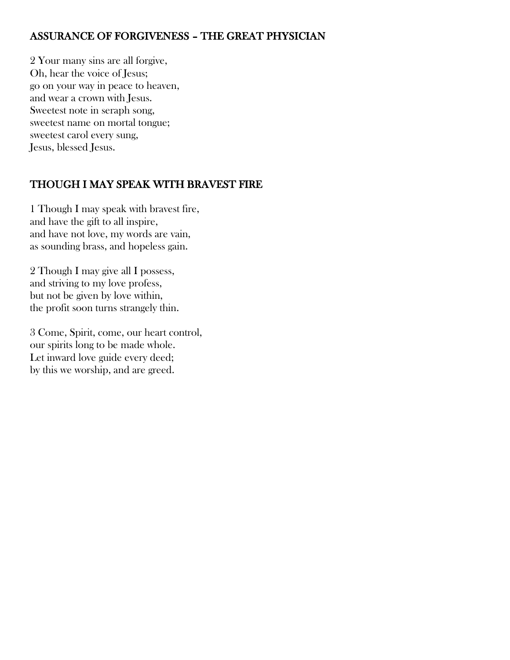## ASSURANCE OF FORGIVENESS – THE GREAT PHYSICIAN

2 Your many sins are all forgive, Oh, hear the voice of Jesus; go on your way in peace to heaven, and wear a crown with Jesus. Sweetest note in seraph song, sweetest name on mortal tongue; sweetest carol every sung, Jesus, blessed Jesus.

## THOUGH I MAY SPEAK WITH BRAVEST FIRE

1 Though I may speak with bravest fire, and have the gift to all inspire, and have not love, my words are vain, as sounding brass, and hopeless gain.

2 Though I may give all I possess, and striving to my love profess, but not be given by love within, the profit soon turns strangely thin.

3 Come, Spirit, come, our heart control, our spirits long to be made whole. Let inward love guide every deed; by this we worship, and are greed.